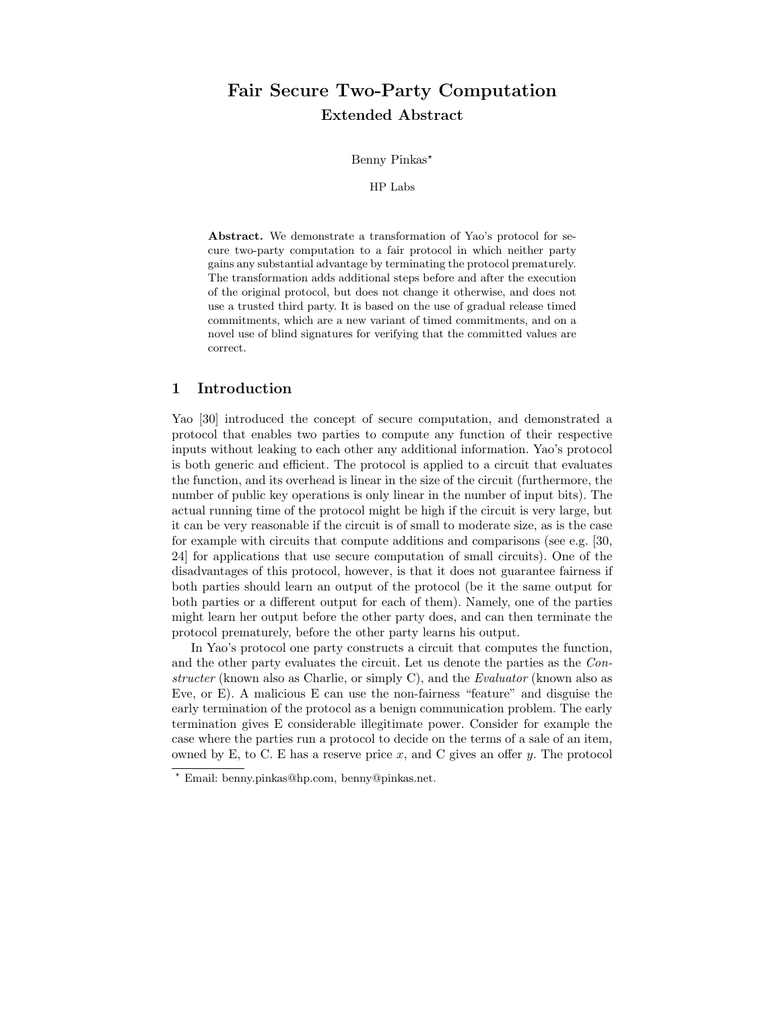# Fair Secure Two-Party Computation Extended Abstract

Benny Pinkas\*

HP Labs

Abstract. We demonstrate a transformation of Yao's protocol for secure two-party computation to a fair protocol in which neither party gains any substantial advantage by terminating the protocol prematurely. The transformation adds additional steps before and after the execution of the original protocol, but does not change it otherwise, and does not use a trusted third party. It is based on the use of gradual release timed commitments, which are a new variant of timed commitments, and on a novel use of blind signatures for verifying that the committed values are correct.

# 1 Introduction

Yao [30] introduced the concept of secure computation, and demonstrated a protocol that enables two parties to compute any function of their respective inputs without leaking to each other any additional information. Yao's protocol is both generic and efficient. The protocol is applied to a circuit that evaluates the function, and its overhead is linear in the size of the circuit (furthermore, the number of public key operations is only linear in the number of input bits). The actual running time of the protocol might be high if the circuit is very large, but it can be very reasonable if the circuit is of small to moderate size, as is the case for example with circuits that compute additions and comparisons (see e.g. [30, 24] for applications that use secure computation of small circuits). One of the disadvantages of this protocol, however, is that it does not guarantee fairness if both parties should learn an output of the protocol (be it the same output for both parties or a different output for each of them). Namely, one of the parties might learn her output before the other party does, and can then terminate the protocol prematurely, before the other party learns his output.

In Yao's protocol one party constructs a circuit that computes the function, and the other party evaluates the circuit. Let us denote the parties as the Constructer (known also as Charlie, or simply C), and the Evaluator (known also as Eve, or E). A malicious E can use the non-fairness "feature" and disguise the early termination of the protocol as a benign communication problem. The early termination gives E considerable illegitimate power. Consider for example the case where the parties run a protocol to decide on the terms of a sale of an item, owned by E, to C. E has a reserve price x, and C gives an offer  $y$ . The protocol

<sup>?</sup> Email: benny.pinkas@hp.com, benny@pinkas.net.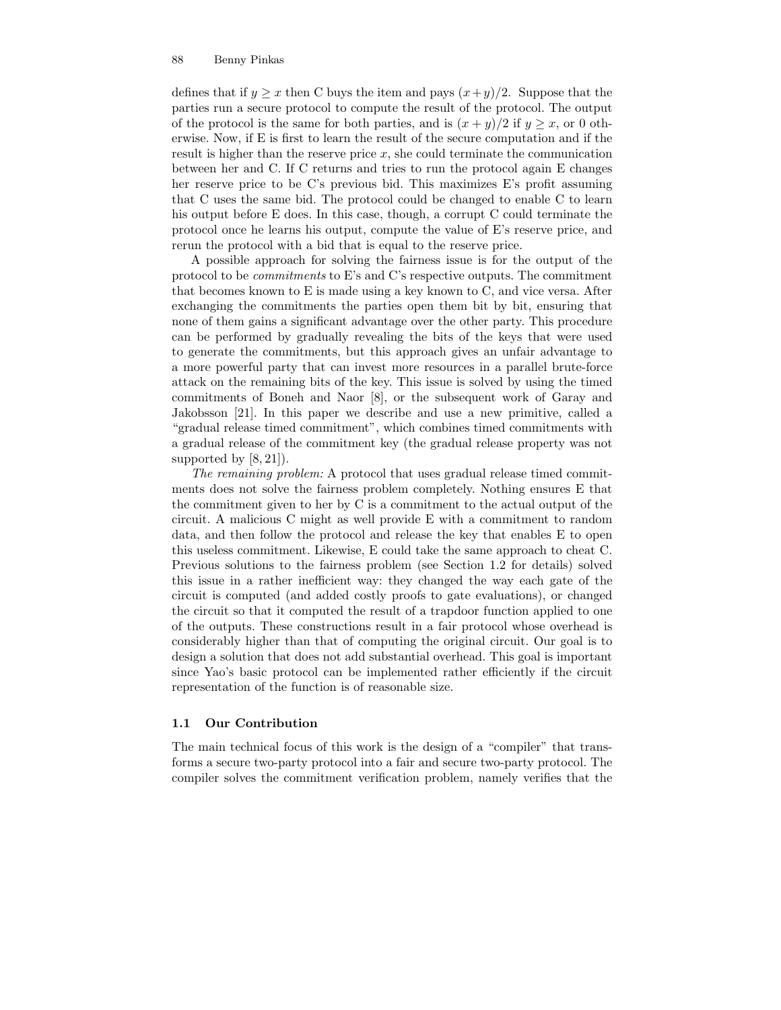defines that if  $y > x$  then C buys the item and pays  $(x+y)/2$ . Suppose that the parties run a secure protocol to compute the result of the protocol. The output of the protocol is the same for both parties, and is  $(x + y)/2$  if  $y \geq x$ , or 0 otherwise. Now, if E is first to learn the result of the secure computation and if the result is higher than the reserve price  $x$ , she could terminate the communication between her and C. If C returns and tries to run the protocol again E changes her reserve price to be C's previous bid. This maximizes E's profit assuming that C uses the same bid. The protocol could be changed to enable C to learn his output before E does. In this case, though, a corrupt C could terminate the protocol once he learns his output, compute the value of E's reserve price, and rerun the protocol with a bid that is equal to the reserve price.

A possible approach for solving the fairness issue is for the output of the protocol to be commitments to E's and C's respective outputs. The commitment that becomes known to E is made using a key known to C, and vice versa. After exchanging the commitments the parties open them bit by bit, ensuring that none of them gains a significant advantage over the other party. This procedure can be performed by gradually revealing the bits of the keys that were used to generate the commitments, but this approach gives an unfair advantage to a more powerful party that can invest more resources in a parallel brute-force attack on the remaining bits of the key. This issue is solved by using the timed commitments of Boneh and Naor [8], or the subsequent work of Garay and Jakobsson [21]. In this paper we describe and use a new primitive, called a "gradual release timed commitment", which combines timed commitments with a gradual release of the commitment key (the gradual release property was not supported by  $[8, 21]$ .

The remaining problem: A protocol that uses gradual release timed commitments does not solve the fairness problem completely. Nothing ensures E that the commitment given to her by C is a commitment to the actual output of the circuit. A malicious C might as well provide E with a commitment to random data, and then follow the protocol and release the key that enables E to open this useless commitment. Likewise, E could take the same approach to cheat C. Previous solutions to the fairness problem (see Section 1.2 for details) solved this issue in a rather inefficient way: they changed the way each gate of the circuit is computed (and added costly proofs to gate evaluations), or changed the circuit so that it computed the result of a trapdoor function applied to one of the outputs. These constructions result in a fair protocol whose overhead is considerably higher than that of computing the original circuit. Our goal is to design a solution that does not add substantial overhead. This goal is important since Yao's basic protocol can be implemented rather efficiently if the circuit representation of the function is of reasonable size.

# 1.1 Our Contribution

The main technical focus of this work is the design of a "compiler" that transforms a secure two-party protocol into a fair and secure two-party protocol. The compiler solves the commitment verification problem, namely verifies that the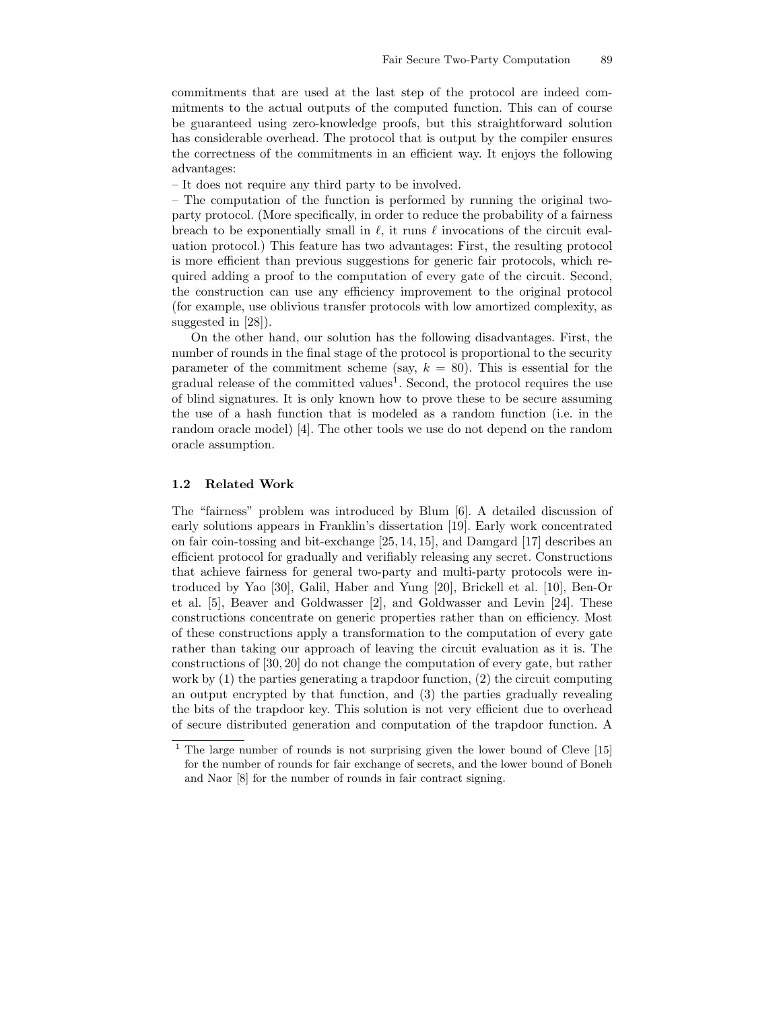commitments that are used at the last step of the protocol are indeed commitments to the actual outputs of the computed function. This can of course be guaranteed using zero-knowledge proofs, but this straightforward solution has considerable overhead. The protocol that is output by the compiler ensures the correctness of the commitments in an efficient way. It enjoys the following advantages:

– It does not require any third party to be involved.

– The computation of the function is performed by running the original twoparty protocol. (More specifically, in order to reduce the probability of a fairness breach to be exponentially small in  $\ell$ , it runs  $\ell$  invocations of the circuit evaluation protocol.) This feature has two advantages: First, the resulting protocol is more efficient than previous suggestions for generic fair protocols, which required adding a proof to the computation of every gate of the circuit. Second, the construction can use any efficiency improvement to the original protocol (for example, use oblivious transfer protocols with low amortized complexity, as suggested in [28]).

On the other hand, our solution has the following disadvantages. First, the number of rounds in the final stage of the protocol is proportional to the security parameter of the commitment scheme (say,  $k = 80$ ). This is essential for the gradual release of the committed values<sup>1</sup>. Second, the protocol requires the use of blind signatures. It is only known how to prove these to be secure assuming the use of a hash function that is modeled as a random function (i.e. in the random oracle model) [4]. The other tools we use do not depend on the random oracle assumption.

# 1.2 Related Work

The "fairness" problem was introduced by Blum [6]. A detailed discussion of early solutions appears in Franklin's dissertation [19]. Early work concentrated on fair coin-tossing and bit-exchange [25, 14, 15], and Damgard [17] describes an efficient protocol for gradually and verifiably releasing any secret. Constructions that achieve fairness for general two-party and multi-party protocols were introduced by Yao [30], Galil, Haber and Yung [20], Brickell et al. [10], Ben-Or et al. [5], Beaver and Goldwasser [2], and Goldwasser and Levin [24]. These constructions concentrate on generic properties rather than on efficiency. Most of these constructions apply a transformation to the computation of every gate rather than taking our approach of leaving the circuit evaluation as it is. The constructions of [30, 20] do not change the computation of every gate, but rather work by (1) the parties generating a trapdoor function, (2) the circuit computing an output encrypted by that function, and (3) the parties gradually revealing the bits of the trapdoor key. This solution is not very efficient due to overhead of secure distributed generation and computation of the trapdoor function. A

<sup>&</sup>lt;sup>1</sup> The large number of rounds is not surprising given the lower bound of Cleve [15] for the number of rounds for fair exchange of secrets, and the lower bound of Boneh and Naor [8] for the number of rounds in fair contract signing.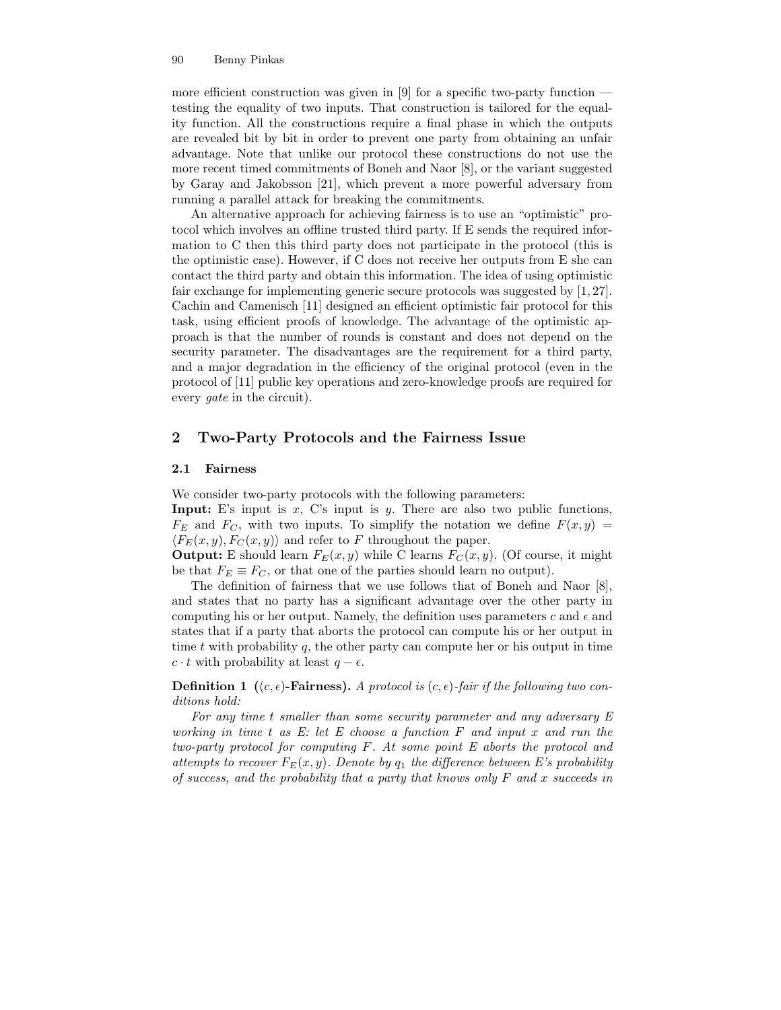more efficient construction was given in [9] for a specific two-party function testing the equality of two inputs. That construction is tailored for the equality function. All the constructions require a final phase in which the outputs are revealed bit by bit in order to prevent one party from obtaining an unfair advantage. Note that unlike our protocol these constructions do not use the more recent timed commitments of Boneh and Naor [8], or the variant suggested by Garay and Jakobsson [21], which prevent a more powerful adversary from running a parallel attack for breaking the commitments.

An alternative approach for achieving fairness is to use an "optimistic" protocol which involves an offline trusted third party. If E sends the required information to C then this third party does not participate in the protocol (this is the optimistic case). However, if C does not receive her outputs from E she can contact the third party and obtain this information. The idea of using optimistic fair exchange for implementing generic secure protocols was suggested by [1, 27]. Cachin and Camenisch [11] designed an efficient optimistic fair protocol for this task, using efficient proofs of knowledge. The advantage of the optimistic approach is that the number of rounds is constant and does not depend on the security parameter. The disadvantages are the requirement for a third party, and a major degradation in the efficiency of the original protocol (even in the protocol of [11] public key operations and zero-knowledge proofs are required for every *qate* in the circuit).

# 2 Two-Party Protocols and the Fairness Issue

# 2.1 Fairness

We consider two-party protocols with the following parameters:

**Input:** E's input is  $x$ , C's input is  $y$ . There are also two public functions,  $F_E$  and  $F_C$ , with two inputs. To simplify the notation we define  $F(x, y) =$  $\langle F_E(x, y), F_C(x, y) \rangle$  and refer to F throughout the paper.

**Output:** E should learn  $F_E(x, y)$  while C learns  $F_C(x, y)$ . (Of course, it might be that  $F_E \equiv F_C$ , or that one of the parties should learn no output).

The definition of fairness that we use follows that of Boneh and Naor [8], and states that no party has a significant advantage over the other party in computing his or her output. Namely, the definition uses parameters  $c$  and  $\epsilon$  and states that if a party that aborts the protocol can compute his or her output in time t with probability q, the other party can compute her or his output in time  $c \cdot t$  with probability at least  $q - \epsilon$ .

**Definition 1** ( $(c, \epsilon)$ -Fairness). A protocol is  $(c, \epsilon)$ -fair if the following two conditions hold:

For any time t smaller than some security parameter and any adversary E working in time t as  $E$ : let  $E$  choose a function  $F$  and input x and run the two-party protocol for computing F. At some point E aborts the protocol and attempts to recover  $F_E(x, y)$ . Denote by  $q_1$  the difference between E's probability of success, and the probability that a party that knows only  $F$  and x succeeds in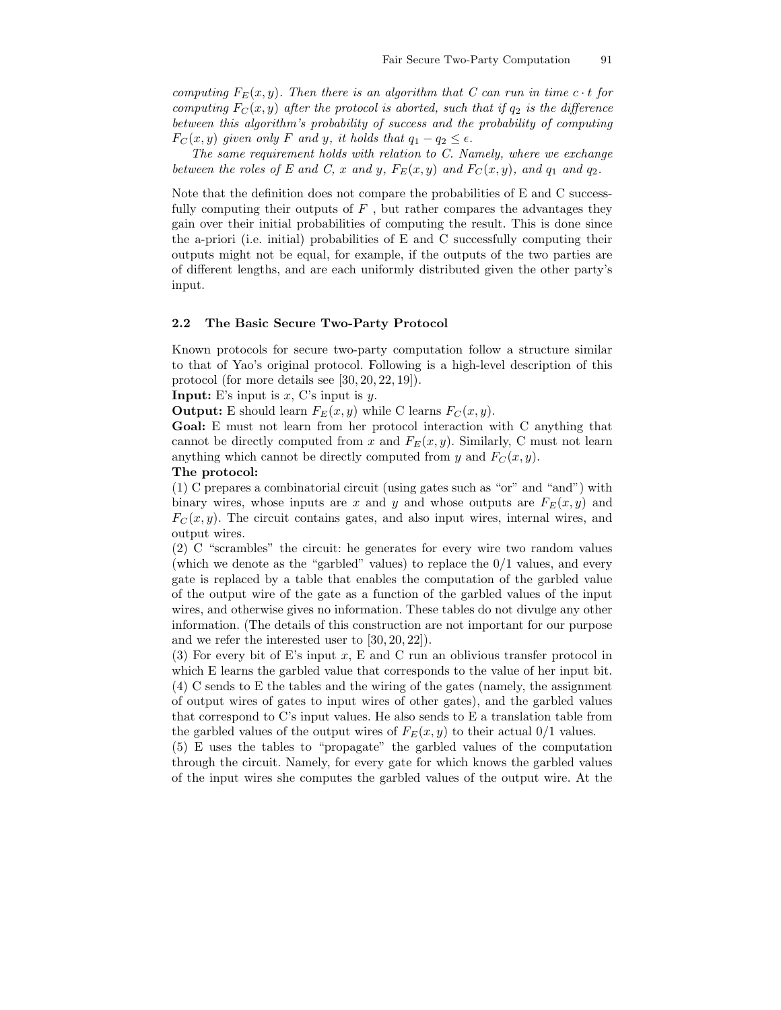computing  $F_E(x, y)$ . Then there is an algorithm that C can run in time  $c \cdot t$  for computing  $F_C(x, y)$  after the protocol is aborted, such that if  $q_2$  is the difference between this algorithm's probability of success and the probability of computing  $F_C(x, y)$  given only F and y, it holds that  $q_1 - q_2 \leq \epsilon$ .

The same requirement holds with relation to C. Namely, where we exchange between the roles of E and C, x and y,  $F_E(x, y)$  and  $F_C(x, y)$ , and  $q_1$  and  $q_2$ .

Note that the definition does not compare the probabilities of E and C successfully computing their outputs of  $F$  , but rather compares the advantages they gain over their initial probabilities of computing the result. This is done since the a-priori (i.e. initial) probabilities of E and C successfully computing their outputs might not be equal, for example, if the outputs of the two parties are of different lengths, and are each uniformly distributed given the other party's input.

# 2.2 The Basic Secure Two-Party Protocol

Known protocols for secure two-party computation follow a structure similar to that of Yao's original protocol. Following is a high-level description of this protocol (for more details see [30, 20, 22, 19]).

**Input:** E's input is  $x$ , C's input is  $y$ .

**Output:** E should learn  $F_E(x, y)$  while C learns  $F_C(x, y)$ .

Goal: E must not learn from her protocol interaction with C anything that cannot be directly computed from x and  $F_E(x, y)$ . Similarly, C must not learn anything which cannot be directly computed from y and  $F_C(x, y)$ .

### The protocol:

(1) C prepares a combinatorial circuit (using gates such as "or" and "and") with binary wires, whose inputs are x and y and whose outputs are  $F_E(x, y)$  and  $F_C(x, y)$ . The circuit contains gates, and also input wires, internal wires, and output wires.

(2) C "scrambles" the circuit: he generates for every wire two random values (which we denote as the "garbled" values) to replace the 0/1 values, and every gate is replaced by a table that enables the computation of the garbled value of the output wire of the gate as a function of the garbled values of the input wires, and otherwise gives no information. These tables do not divulge any other information. (The details of this construction are not important for our purpose and we refer the interested user to [30, 20, 22]).

(3) For every bit of E's input x, E and C run an oblivious transfer protocol in which E learns the garbled value that corresponds to the value of her input bit. (4) C sends to E the tables and the wiring of the gates (namely, the assignment of output wires of gates to input wires of other gates), and the garbled values that correspond to C's input values. He also sends to E a translation table from the garbled values of the output wires of  $F_E(x, y)$  to their actual  $0/1$  values.

(5) E uses the tables to "propagate" the garbled values of the computation through the circuit. Namely, for every gate for which knows the garbled values of the input wires she computes the garbled values of the output wire. At the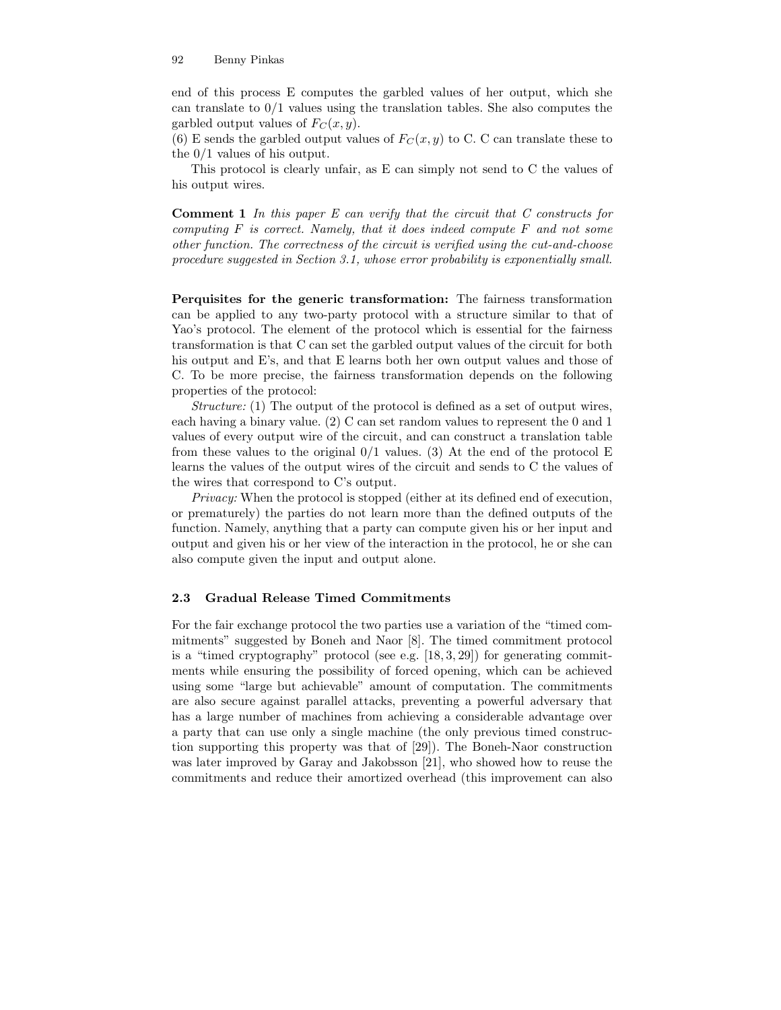end of this process E computes the garbled values of her output, which she can translate to  $0/1$  values using the translation tables. She also computes the garbled output values of  $F_C(x, y)$ .

(6) E sends the garbled output values of  $F_C(x, y)$  to C. C can translate these to the 0/1 values of his output.

This protocol is clearly unfair, as E can simply not send to C the values of his output wires.

Comment 1 In this paper E can verify that the circuit that C constructs for computing  $F$  is correct. Namely, that it does indeed compute  $F$  and not some other function. The correctness of the circuit is verified using the cut-and-choose procedure suggested in Section 3.1, whose error probability is exponentially small.

Perquisites for the generic transformation: The fairness transformation can be applied to any two-party protocol with a structure similar to that of Yao's protocol. The element of the protocol which is essential for the fairness transformation is that C can set the garbled output values of the circuit for both his output and E's, and that E learns both her own output values and those of C. To be more precise, the fairness transformation depends on the following properties of the protocol:

Structure: (1) The output of the protocol is defined as a set of output wires, each having a binary value. (2) C can set random values to represent the 0 and 1 values of every output wire of the circuit, and can construct a translation table from these values to the original  $0/1$  values. (3) At the end of the protocol E learns the values of the output wires of the circuit and sends to C the values of the wires that correspond to C's output.

Privacy: When the protocol is stopped (either at its defined end of execution, or prematurely) the parties do not learn more than the defined outputs of the function. Namely, anything that a party can compute given his or her input and output and given his or her view of the interaction in the protocol, he or she can also compute given the input and output alone.

### 2.3 Gradual Release Timed Commitments

For the fair exchange protocol the two parties use a variation of the "timed commitments" suggested by Boneh and Naor [8]. The timed commitment protocol is a "timed cryptography" protocol (see e.g.  $[18, 3, 29]$ ) for generating commitments while ensuring the possibility of forced opening, which can be achieved using some "large but achievable" amount of computation. The commitments are also secure against parallel attacks, preventing a powerful adversary that has a large number of machines from achieving a considerable advantage over a party that can use only a single machine (the only previous timed construction supporting this property was that of [29]). The Boneh-Naor construction was later improved by Garay and Jakobsson [21], who showed how to reuse the commitments and reduce their amortized overhead (this improvement can also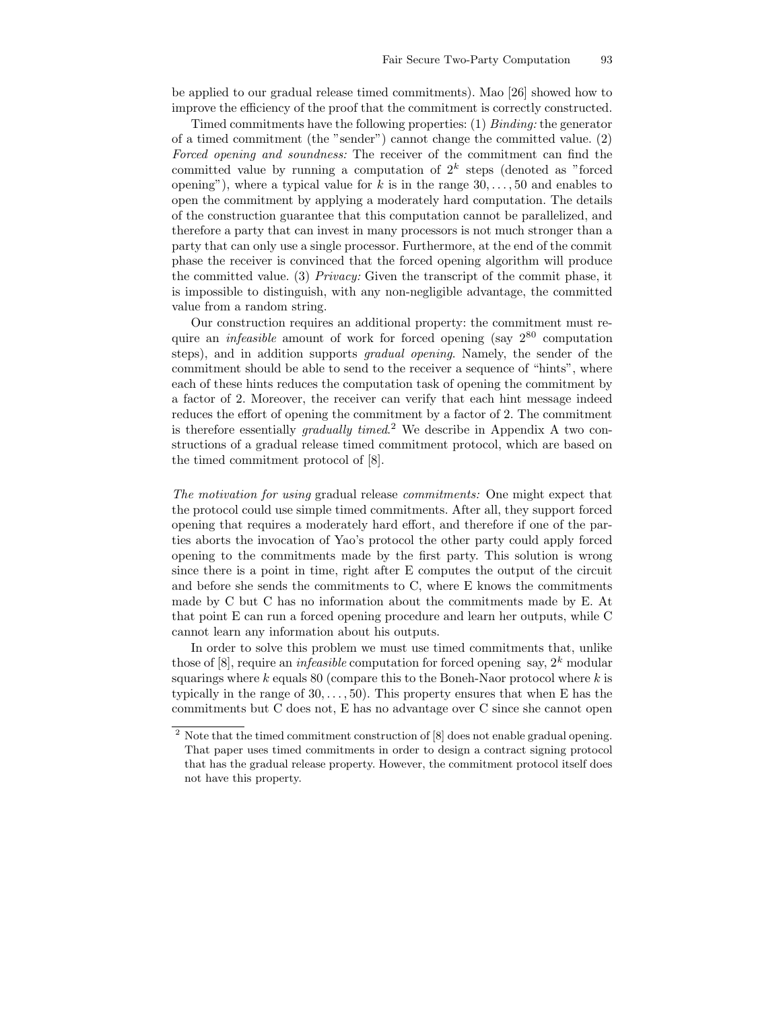be applied to our gradual release timed commitments). Mao [26] showed how to improve the efficiency of the proof that the commitment is correctly constructed.

Timed commitments have the following properties:  $(1)$  Binding: the generator of a timed commitment (the "sender") cannot change the committed value. (2) Forced opening and soundness: The receiver of the commitment can find the committed value by running a computation of  $2^k$  steps (denoted as "forced opening"), where a typical value for k is in the range  $30, \ldots, 50$  and enables to open the commitment by applying a moderately hard computation. The details of the construction guarantee that this computation cannot be parallelized, and therefore a party that can invest in many processors is not much stronger than a party that can only use a single processor. Furthermore, at the end of the commit phase the receiver is convinced that the forced opening algorithm will produce the committed value. (3) Privacy: Given the transcript of the commit phase, it is impossible to distinguish, with any non-negligible advantage, the committed value from a random string.

Our construction requires an additional property: the commitment must require an *infeasible* amount of work for forced opening (say  $2^{80}$  computation steps), and in addition supports gradual opening. Namely, the sender of the commitment should be able to send to the receiver a sequence of "hints", where each of these hints reduces the computation task of opening the commitment by a factor of 2. Moreover, the receiver can verify that each hint message indeed reduces the effort of opening the commitment by a factor of 2. The commitment is therefore essentially gradually timed.<sup>2</sup> We describe in Appendix A two constructions of a gradual release timed commitment protocol, which are based on the timed commitment protocol of [8].

The motivation for using gradual release commitments: One might expect that the protocol could use simple timed commitments. After all, they support forced opening that requires a moderately hard effort, and therefore if one of the parties aborts the invocation of Yao's protocol the other party could apply forced opening to the commitments made by the first party. This solution is wrong since there is a point in time, right after E computes the output of the circuit and before she sends the commitments to C, where E knows the commitments made by C but C has no information about the commitments made by E. At that point E can run a forced opening procedure and learn her outputs, while C cannot learn any information about his outputs.

In order to solve this problem we must use timed commitments that, unlike those of [8], require an *infeasible* computation for forced opening say,  $2^k$  modular squarings where  $k$  equals 80 (compare this to the Boneh-Naor protocol where  $k$  is typically in the range of  $30, \ldots, 50$ . This property ensures that when E has the commitments but C does not, E has no advantage over C since she cannot open

 $^{\rm 2}$  Note that the timed commitment construction of [8] does not enable gradual opening. That paper uses timed commitments in order to design a contract signing protocol that has the gradual release property. However, the commitment protocol itself does not have this property.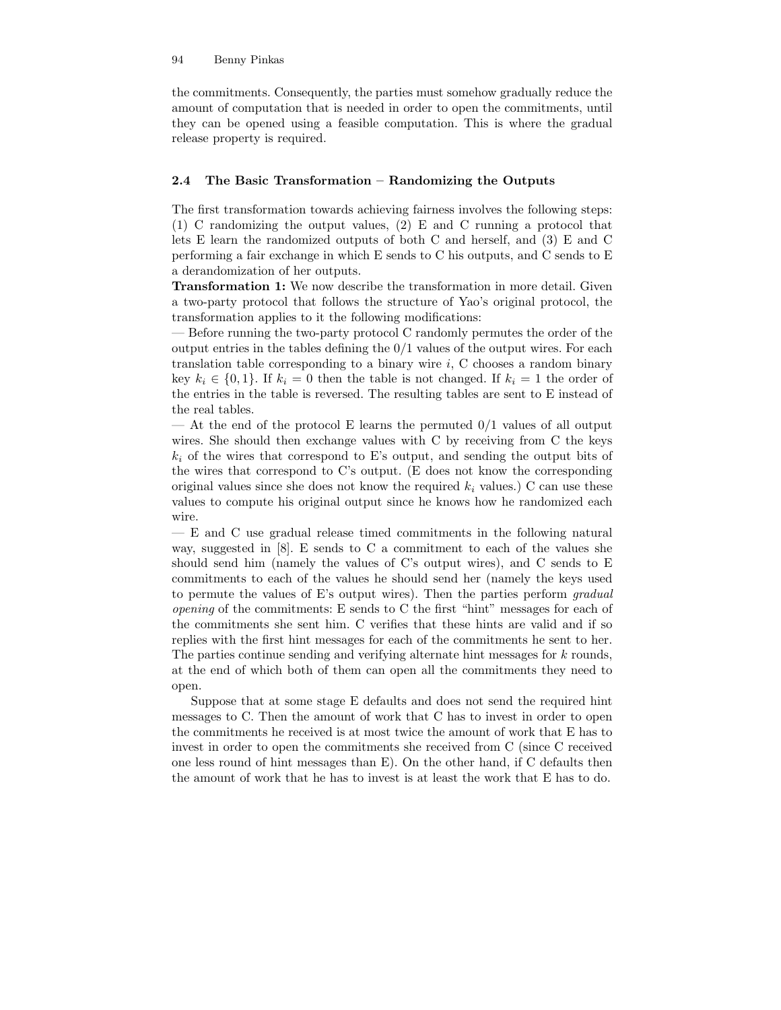the commitments. Consequently, the parties must somehow gradually reduce the amount of computation that is needed in order to open the commitments, until they can be opened using a feasible computation. This is where the gradual release property is required.

### 2.4 The Basic Transformation – Randomizing the Outputs

The first transformation towards achieving fairness involves the following steps: (1) C randomizing the output values, (2) E and C running a protocol that lets E learn the randomized outputs of both C and herself, and (3) E and C performing a fair exchange in which E sends to C his outputs, and C sends to E a derandomization of her outputs.

Transformation 1: We now describe the transformation in more detail. Given a two-party protocol that follows the structure of Yao's original protocol, the transformation applies to it the following modifications:

— Before running the two-party protocol C randomly permutes the order of the output entries in the tables defining the  $0/1$  values of the output wires. For each translation table corresponding to a binary wire  $i$ , C chooses a random binary key  $k_i \in \{0, 1\}$ . If  $k_i = 0$  then the table is not changed. If  $k_i = 1$  the order of the entries in the table is reversed. The resulting tables are sent to E instead of the real tables.

— At the end of the protocol E learns the permuted  $0/1$  values of all output wires. She should then exchange values with C by receiving from C the keys  $k_i$  of the wires that correspond to E's output, and sending the output bits of the wires that correspond to C's output. (E does not know the corresponding original values since she does not know the required  $k_i$  values.) C can use these values to compute his original output since he knows how he randomized each wire.

— E and C use gradual release timed commitments in the following natural way, suggested in [8]. E sends to C a commitment to each of the values she should send him (namely the values of C's output wires), and C sends to E commitments to each of the values he should send her (namely the keys used to permute the values of E's output wires). Then the parties perform gradual opening of the commitments: E sends to C the first "hint" messages for each of the commitments she sent him. C verifies that these hints are valid and if so replies with the first hint messages for each of the commitments he sent to her. The parties continue sending and verifying alternate hint messages for k rounds, at the end of which both of them can open all the commitments they need to open.

Suppose that at some stage E defaults and does not send the required hint messages to C. Then the amount of work that C has to invest in order to open the commitments he received is at most twice the amount of work that E has to invest in order to open the commitments she received from C (since C received one less round of hint messages than E). On the other hand, if C defaults then the amount of work that he has to invest is at least the work that E has to do.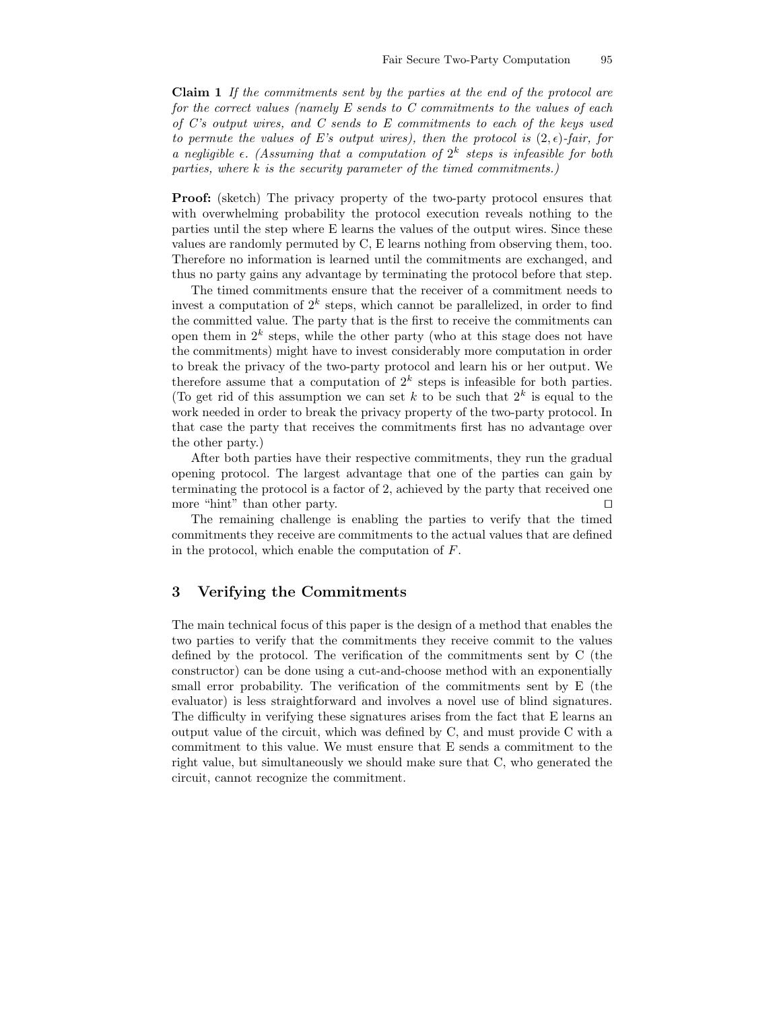Claim 1 If the commitments sent by the parties at the end of the protocol are for the correct values (namely E sends to C commitments to the values of each of C's output wires, and C sends to E commitments to each of the keys used to permute the values of E's output wires), then the protocol is  $(2, \epsilon)$ -fair, for a negligible  $\epsilon$ . (Assuming that a computation of  $2^k$  steps is infeasible for both parties, where k is the security parameter of the timed commitments.)

Proof: (sketch) The privacy property of the two-party protocol ensures that with overwhelming probability the protocol execution reveals nothing to the parties until the step where E learns the values of the output wires. Since these values are randomly permuted by C, E learns nothing from observing them, too. Therefore no information is learned until the commitments are exchanged, and thus no party gains any advantage by terminating the protocol before that step.

The timed commitments ensure that the receiver of a commitment needs to invest a computation of  $2^k$  steps, which cannot be parallelized, in order to find the committed value. The party that is the first to receive the commitments can open them in  $2^k$  steps, while the other party (who at this stage does not have the commitments) might have to invest considerably more computation in order to break the privacy of the two-party protocol and learn his or her output. We therefore assume that a computation of  $2^k$  steps is infeasible for both parties. (To get rid of this assumption we can set k to be such that  $2^k$  is equal to the work needed in order to break the privacy property of the two-party protocol. In that case the party that receives the commitments first has no advantage over the other party.)

After both parties have their respective commitments, they run the gradual opening protocol. The largest advantage that one of the parties can gain by terminating the protocol is a factor of 2, achieved by the party that received one more "hint" than other party.  $\Box$ 

The remaining challenge is enabling the parties to verify that the timed commitments they receive are commitments to the actual values that are defined in the protocol, which enable the computation of F.

# 3 Verifying the Commitments

The main technical focus of this paper is the design of a method that enables the two parties to verify that the commitments they receive commit to the values defined by the protocol. The verification of the commitments sent by C (the constructor) can be done using a cut-and-choose method with an exponentially small error probability. The verification of the commitments sent by E (the evaluator) is less straightforward and involves a novel use of blind signatures. The difficulty in verifying these signatures arises from the fact that E learns an output value of the circuit, which was defined by C, and must provide C with a commitment to this value. We must ensure that E sends a commitment to the right value, but simultaneously we should make sure that C, who generated the circuit, cannot recognize the commitment.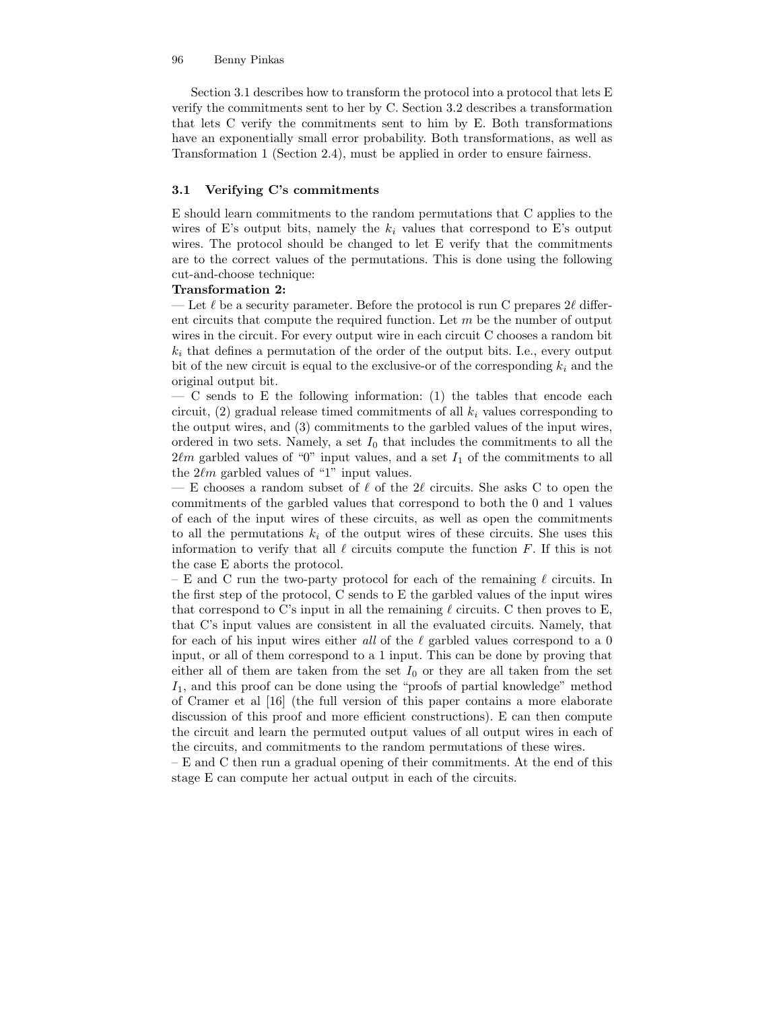Section 3.1 describes how to transform the protocol into a protocol that lets E verify the commitments sent to her by C. Section 3.2 describes a transformation that lets C verify the commitments sent to him by E. Both transformations have an exponentially small error probability. Both transformations, as well as Transformation 1 (Section 2.4), must be applied in order to ensure fairness.

### 3.1 Verifying C's commitments

E should learn commitments to the random permutations that C applies to the wires of E's output bits, namely the  $k_i$  values that correspond to E's output wires. The protocol should be changed to let E verify that the commitments are to the correct values of the permutations. This is done using the following cut-and-choose technique:

#### Transformation 2:

— Let  $\ell$  be a security parameter. Before the protocol is run C prepares 2 $\ell$  different circuits that compute the required function. Let  $m$  be the number of output wires in the circuit. For every output wire in each circuit C chooses a random bit  $k_i$  that defines a permutation of the order of the output bits. I.e., every output bit of the new circuit is equal to the exclusive-or of the corresponding  $k_i$  and the original output bit.

 $-$  C sends to E the following information: (1) the tables that encode each circuit, (2) gradual release timed commitments of all  $k_i$  values corresponding to the output wires, and (3) commitments to the garbled values of the input wires, ordered in two sets. Namely, a set  $I_0$  that includes the commitments to all the  $2\ell m$  garbled values of "0" input values, and a set  $I_1$  of the commitments to all the  $2\ell m$  garbled values of "1" input values.

— E chooses a random subset of  $\ell$  of the 2 $\ell$  circuits. She asks C to open the commitments of the garbled values that correspond to both the 0 and 1 values of each of the input wires of these circuits, as well as open the commitments to all the permutations  $k_i$  of the output wires of these circuits. She uses this information to verify that all  $\ell$  circuits compute the function F. If this is not the case E aborts the protocol.

– E and C run the two-party protocol for each of the remaining  $\ell$  circuits. In the first step of the protocol, C sends to E the garbled values of the input wires that correspond to C's input in all the remaining  $\ell$  circuits. C then proves to E, that C's input values are consistent in all the evaluated circuits. Namely, that for each of his input wires either all of the  $\ell$  garbled values correspond to a 0 input, or all of them correspond to a 1 input. This can be done by proving that either all of them are taken from the set  $I_0$  or they are all taken from the set  $I_1$ , and this proof can be done using the "proofs of partial knowledge" method of Cramer et al [16] (the full version of this paper contains a more elaborate discussion of this proof and more efficient constructions). E can then compute the circuit and learn the permuted output values of all output wires in each of the circuits, and commitments to the random permutations of these wires.

– E and C then run a gradual opening of their commitments. At the end of this stage E can compute her actual output in each of the circuits.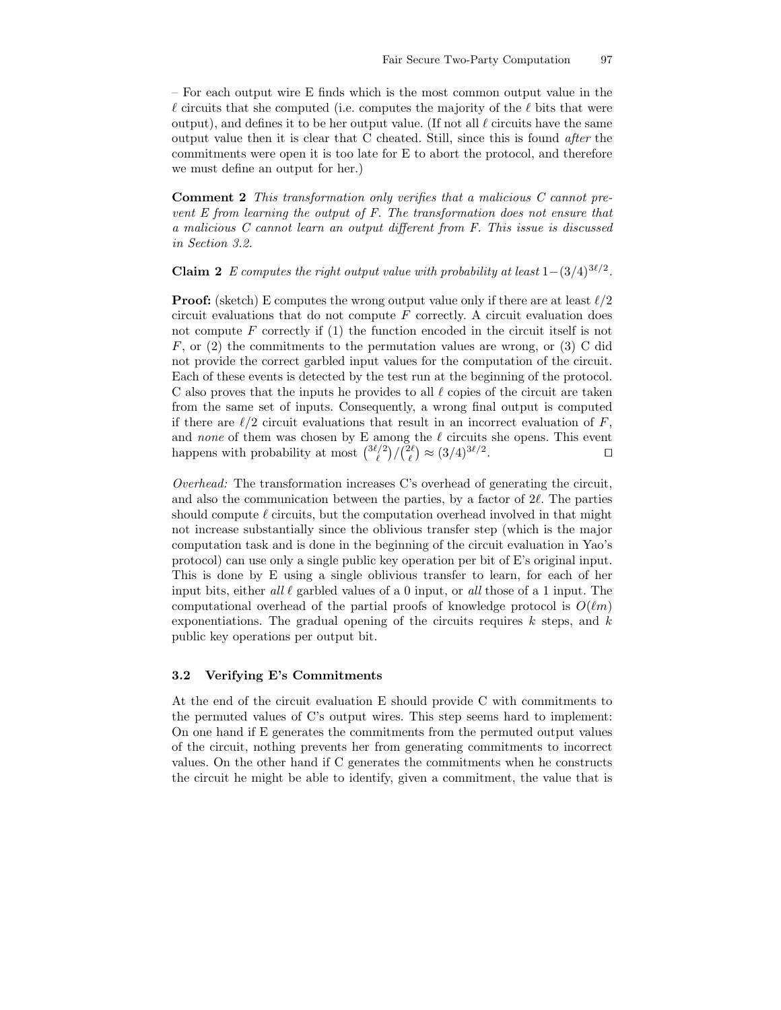– For each output wire E finds which is the most common output value in the  $\ell$  circuits that she computed (i.e. computes the majority of the  $\ell$  bits that were output), and defines it to be her output value. (If not all  $\ell$  circuits have the same output value then it is clear that C cheated. Still, since this is found after the commitments were open it is too late for E to abort the protocol, and therefore we must define an output for her.)

Comment 2 This transformation only verifies that a malicious C cannot prevent E from learning the output of F. The transformation does not ensure that a malicious C cannot learn an output different from F. This issue is discussed in Section 3.2.

**Claim 2** E computes the right output value with probability at least  $1-(3/4)^{3\ell/2}$ .

**Proof:** (sketch) E computes the wrong output value only if there are at least  $\ell/2$ circuit evaluations that do not compute  $F$  correctly. A circuit evaluation does not compute  $F$  correctly if  $(1)$  the function encoded in the circuit itself is not  $F$ , or (2) the commitments to the permutation values are wrong, or (3) C did not provide the correct garbled input values for the computation of the circuit. Each of these events is detected by the test run at the beginning of the protocol. C also proves that the inputs he provides to all  $\ell$  copies of the circuit are taken from the same set of inputs. Consequently, a wrong final output is computed if there are  $\ell/2$  circuit evaluations that result in an incorrect evaluation of F, and none of them was chosen by E among the  $\ell$  circuits she opens. This event happens with probability at most  $\binom{3\ell/2}{\ell}/\binom{2\ell}{\ell} \approx (3/4)^{3\ell/2}$ .

Overhead: The transformation increases C's overhead of generating the circuit, and also the communication between the parties, by a factor of  $2\ell$ . The parties should compute  $\ell$  circuits, but the computation overhead involved in that might not increase substantially since the oblivious transfer step (which is the major computation task and is done in the beginning of the circuit evaluation in Yao's protocol) can use only a single public key operation per bit of E's original input. This is done by E using a single oblivious transfer to learn, for each of her input bits, either all  $\ell$  garbled values of a 0 input, or all those of a 1 input. The computational overhead of the partial proofs of knowledge protocol is  $O(\ell m)$ exponentiations. The gradual opening of the circuits requires  $k$  steps, and  $k$ public key operations per output bit.

# 3.2 Verifying E's Commitments

At the end of the circuit evaluation E should provide C with commitments to the permuted values of C's output wires. This step seems hard to implement: On one hand if E generates the commitments from the permuted output values of the circuit, nothing prevents her from generating commitments to incorrect values. On the other hand if C generates the commitments when he constructs the circuit he might be able to identify, given a commitment, the value that is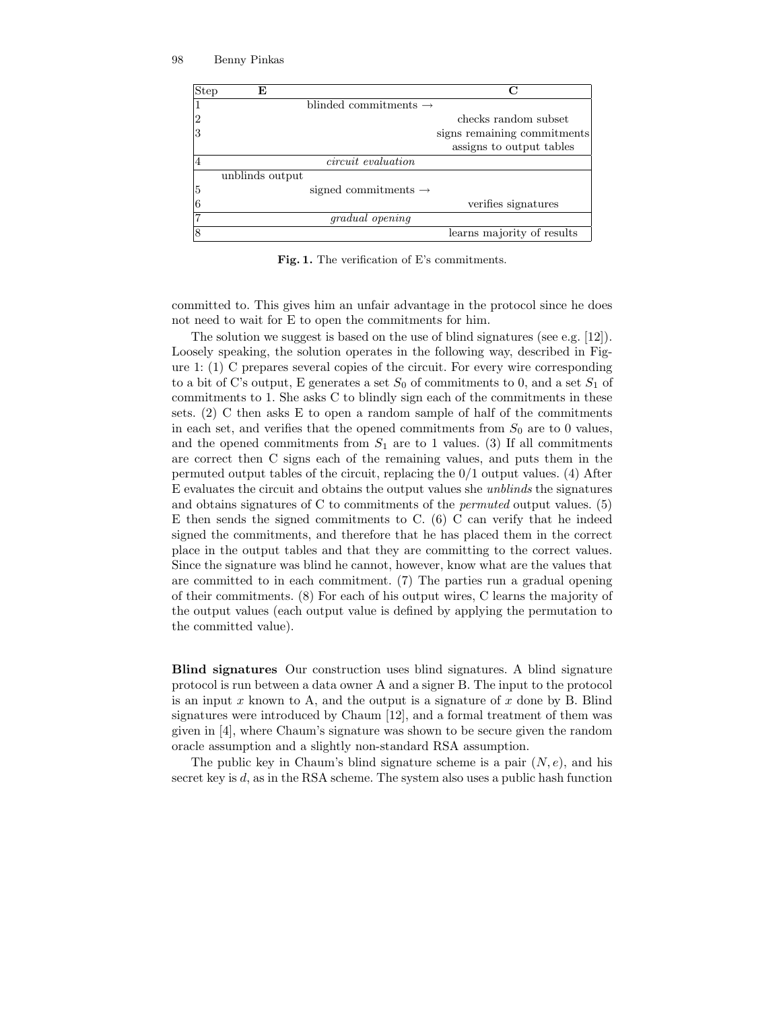

Fig. 1. The verification of E's commitments.

committed to. This gives him an unfair advantage in the protocol since he does not need to wait for E to open the commitments for him.

The solution we suggest is based on the use of blind signatures (see e.g.  $[12]$ ). Loosely speaking, the solution operates in the following way, described in Figure 1: (1) C prepares several copies of the circuit. For every wire corresponding to a bit of C's output, E generates a set  $S_0$  of commitments to 0, and a set  $S_1$  of commitments to 1. She asks C to blindly sign each of the commitments in these sets.  $(2)$  C then asks E to open a random sample of half of the commitments in each set, and verifies that the opened commitments from  $S_0$  are to 0 values, and the opened commitments from  $S_1$  are to 1 values. (3) If all commitments are correct then C signs each of the remaining values, and puts them in the permuted output tables of the circuit, replacing the  $0/1$  output values. (4) After E evaluates the circuit and obtains the output values she unblinds the signatures and obtains signatures of C to commitments of the permuted output values. (5) E then sends the signed commitments to  $C.$  (6)  $C$  can verify that he indeed signed the commitments, and therefore that he has placed them in the correct place in the output tables and that they are committing to the correct values. Since the signature was blind he cannot, however, know what are the values that are committed to in each commitment. (7) The parties run a gradual opening of their commitments. (8) For each of his output wires, C learns the majority of the output values (each output value is defined by applying the permutation to the committed value).

Blind signatures Our construction uses blind signatures. A blind signature protocol is run between a data owner A and a signer B. The input to the protocol is an input x known to A, and the output is a signature of x done by B. Blind signatures were introduced by Chaum [12], and a formal treatment of them was given in [4], where Chaum's signature was shown to be secure given the random oracle assumption and a slightly non-standard RSA assumption.

The public key in Chaum's blind signature scheme is a pair  $(N, e)$ , and his secret key is d, as in the RSA scheme. The system also uses a public hash function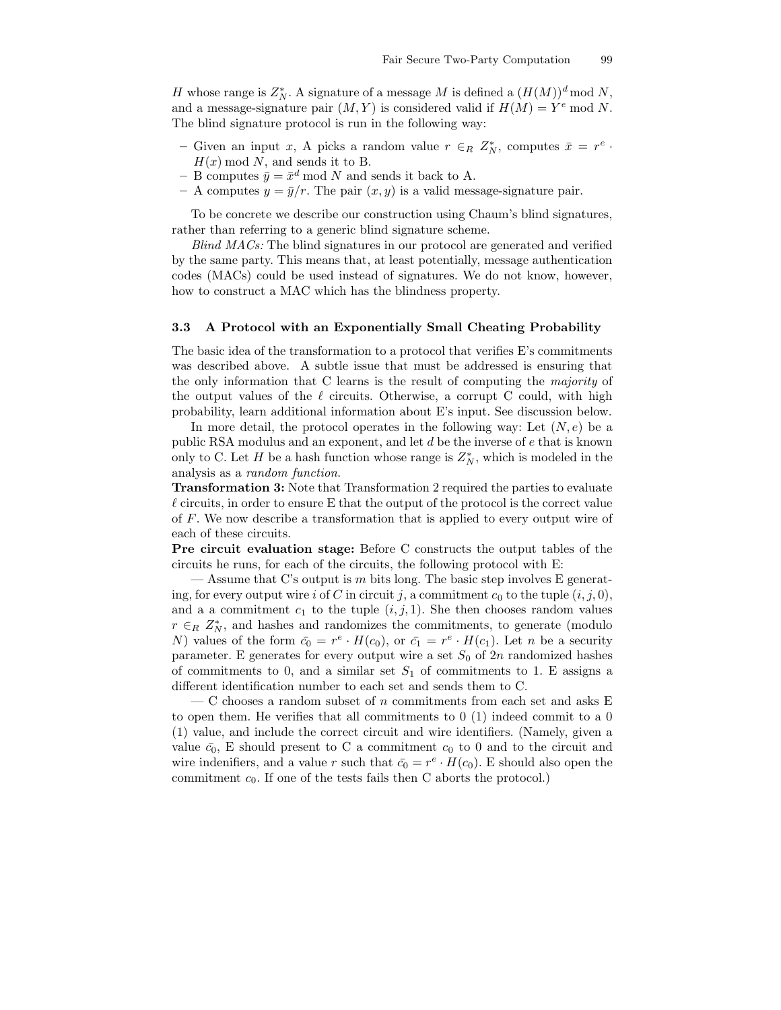H whose range is  $Z_N^*$ . A signature of a message M is defined a  $(H(M))^d \mod N$ , and a message-signature pair  $(M, Y)$  is considered valid if  $H(M) = Y^e \text{ mod } N$ . The blind signature protocol is run in the following way:

- Given an input x, A picks a random value  $r \in_R Z_N^*$ , computes  $\bar{x} = r^e$ .  $H(x) \mod N$ , and sends it to B.
- B computes  $\bar{y} = \bar{x}^d \mod N$  and sends it back to A.
- A computes  $y = \bar{y}/r$ . The pair  $(x, y)$  is a valid message-signature pair.

To be concrete we describe our construction using Chaum's blind signatures, rather than referring to a generic blind signature scheme.

Blind MACs: The blind signatures in our protocol are generated and verified by the same party. This means that, at least potentially, message authentication codes (MACs) could be used instead of signatures. We do not know, however, how to construct a MAC which has the blindness property.

### 3.3 A Protocol with an Exponentially Small Cheating Probability

The basic idea of the transformation to a protocol that verifies E's commitments was described above. A subtle issue that must be addressed is ensuring that the only information that C learns is the result of computing the majority of the output values of the  $\ell$  circuits. Otherwise, a corrupt C could, with high probability, learn additional information about E's input. See discussion below.

In more detail, the protocol operates in the following way: Let  $(N, e)$  be a public RSA modulus and an exponent, and let d be the inverse of e that is known only to C. Let H be a hash function whose range is  $Z_N^*$ , which is modeled in the analysis as a random function.

Transformation 3: Note that Transformation 2 required the parties to evaluate  $\ell$  circuits, in order to ensure E that the output of the protocol is the correct value of F. We now describe a transformation that is applied to every output wire of each of these circuits.

Pre circuit evaluation stage: Before C constructs the output tables of the circuits he runs, for each of the circuits, the following protocol with E:

— Assume that C's output is m bits long. The basic step involves E generating, for every output wire i of C in circuit j, a commitment  $c_0$  to the tuple  $(i, j, 0)$ , and a a commitment  $c_1$  to the tuple  $(i, j, 1)$ . She then chooses random values  $r \in_R Z_N^*$ , and hashes and randomizes the commitments, to generate (modulo N) values of the form  $\bar{c}_0 = r^e \cdot H(c_0)$ , or  $\bar{c}_1 = r^e \cdot H(c_1)$ . Let n be a security parameter. E generates for every output wire a set  $S_0$  of  $2n$  randomized hashes of commitments to 0, and a similar set  $S_1$  of commitments to 1. E assigns a different identification number to each set and sends them to C.

— C chooses a random subset of n commitments from each set and asks E to open them. He verifies that all commitments to 0 (1) indeed commit to a 0 (1) value, and include the correct circuit and wire identifiers. (Namely, given a value  $\bar{c}_0$ , E should present to C a commitment  $c_0$  to 0 and to the circuit and wire indenifiers, and a value r such that  $\bar{c}_0 = r^e \cdot H(c_0)$ . E should also open the commitment  $c_0$ . If one of the tests fails then C aborts the protocol.)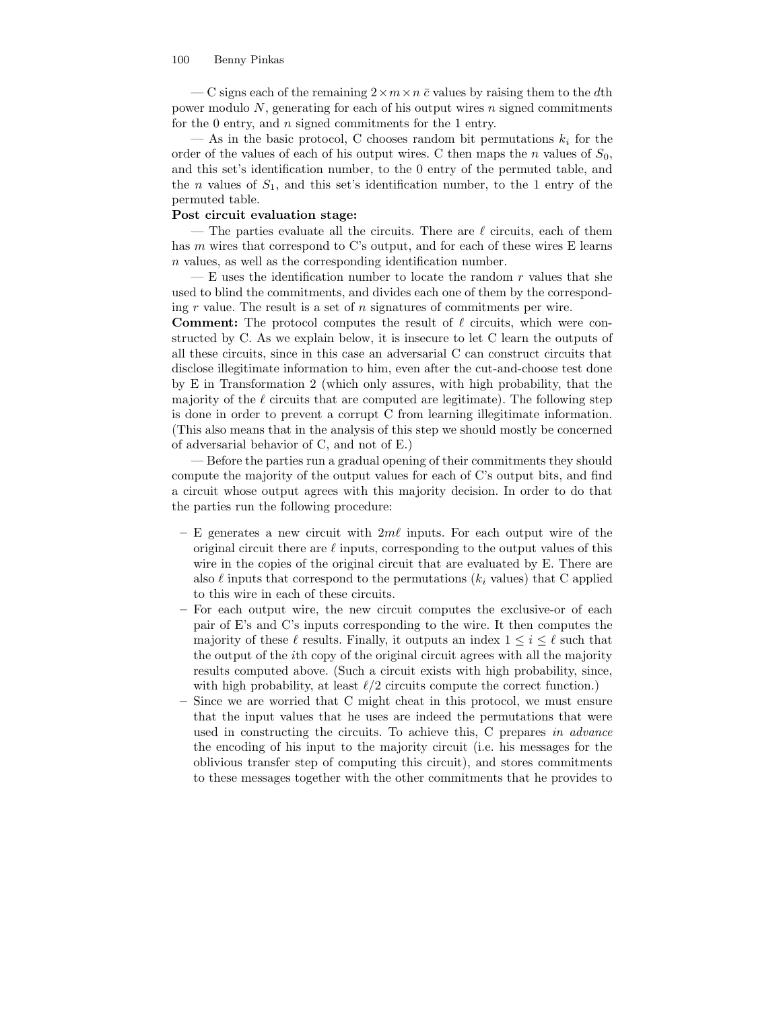— C signs each of the remaining  $2 \times m \times n \bar{c}$  values by raising them to the dth power modulo  $N$ , generating for each of his output wires n signed commitments for the 0 entry, and n signed commitments for the 1 entry.

— As in the basic protocol, C chooses random bit permutations  $k_i$  for the order of the values of each of his output wires. C then maps the *n* values of  $S_0$ , and this set's identification number, to the 0 entry of the permuted table, and the *n* values of  $S_1$ , and this set's identification number, to the 1 entry of the permuted table.

### Post circuit evaluation stage:

— The parties evaluate all the circuits. There are  $\ell$  circuits, each of them has m wires that correspond to C's output, and for each of these wires E learns n values, as well as the corresponding identification number.

 $-$  E uses the identification number to locate the random r values that she used to blind the commitments, and divides each one of them by the corresponding  $r$  value. The result is a set of  $n$  signatures of commitments per wire.

**Comment:** The protocol computes the result of  $\ell$  circuits, which were constructed by C. As we explain below, it is insecure to let C learn the outputs of all these circuits, since in this case an adversarial C can construct circuits that disclose illegitimate information to him, even after the cut-and-choose test done by E in Transformation 2 (which only assures, with high probability, that the majority of the  $\ell$  circuits that are computed are legitimate). The following step is done in order to prevent a corrupt C from learning illegitimate information. (This also means that in the analysis of this step we should mostly be concerned of adversarial behavior of C, and not of E.)

— Before the parties run a gradual opening of their commitments they should compute the majority of the output values for each of C's output bits, and find a circuit whose output agrees with this majority decision. In order to do that the parties run the following procedure:

- E generates a new circuit with  $2m\ell$  inputs. For each output wire of the original circuit there are  $\ell$  inputs, corresponding to the output values of this wire in the copies of the original circuit that are evaluated by E. There are also  $\ell$  inputs that correspond to the permutations ( $k_i$  values) that C applied to this wire in each of these circuits.
- For each output wire, the new circuit computes the exclusive-or of each pair of E's and C's inputs corresponding to the wire. It then computes the majority of these  $\ell$  results. Finally, it outputs an index  $1 \leq i \leq \ell$  such that the output of the ith copy of the original circuit agrees with all the majority results computed above. (Such a circuit exists with high probability, since, with high probability, at least  $\ell/2$  circuits compute the correct function.)
- Since we are worried that C might cheat in this protocol, we must ensure that the input values that he uses are indeed the permutations that were used in constructing the circuits. To achieve this, C prepares in advance the encoding of his input to the majority circuit (i.e. his messages for the oblivious transfer step of computing this circuit), and stores commitments to these messages together with the other commitments that he provides to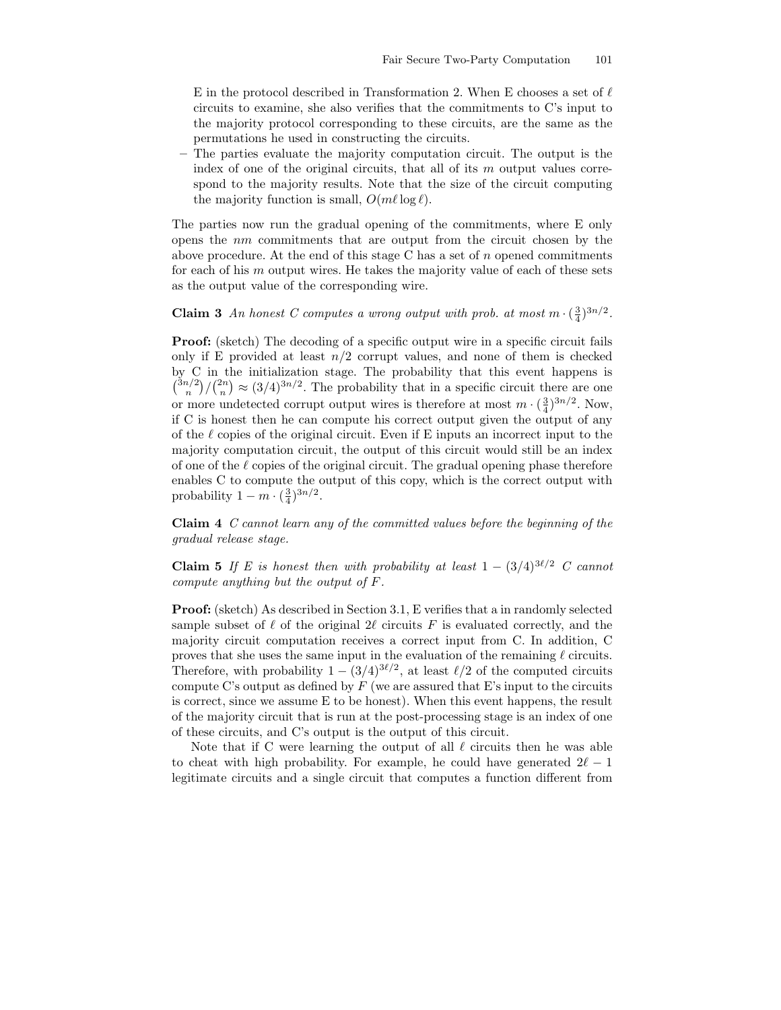E in the protocol described in Transformation 2. When E chooses a set of  $\ell$ circuits to examine, she also verifies that the commitments to C's input to the majority protocol corresponding to these circuits, are the same as the permutations he used in constructing the circuits.

– The parties evaluate the majority computation circuit. The output is the index of one of the original circuits, that all of its  $m$  output values correspond to the majority results. Note that the size of the circuit computing the majority function is small,  $O(m\ell \log \ell)$ .

The parties now run the gradual opening of the commitments, where E only opens the nm commitments that are output from the circuit chosen by the above procedure. At the end of this stage C has a set of  $n$  opened commitments for each of his  $m$  output wires. He takes the majority value of each of these sets as the output value of the corresponding wire.

**Claim 3** An honest C computes a wrong output with prob. at most  $m \cdot (\frac{3}{4})^{3n/2}$ .

**Proof:** (sketch) The decoding of a specific output wire in a specific circuit fails only if E provided at least  $n/2$  corrupt values, and none of them is checked by C in the initialization stage. The probability that this event happens is  $\binom{3n/2}{n}/\binom{2n}{n} \approx (3/4)^{3n/2}$ . The probability that in a specific circuit there are one or more undetected corrupt output wires is therefore at most  $m \cdot \left(\frac{3}{4}\right)^{3n/2}$ . Now, if C is honest then he can compute his correct output given the output of any of the  $\ell$  copies of the original circuit. Even if E inputs an incorrect input to the majority computation circuit, the output of this circuit would still be an index of one of the  $\ell$  copies of the original circuit. The gradual opening phase therefore enables C to compute the output of this copy, which is the correct output with probability  $1 - m \cdot \left(\frac{3}{4}\right)^{3n/2}$ .

Claim 4 C cannot learn any of the committed values before the beginning of the gradual release stage.

**Claim 5** If E is honest then with probability at least  $1 - (3/4)^{3\ell/2}$  C cannot compute anything but the output of F.

Proof: (sketch) As described in Section 3.1, E verifies that a in randomly selected sample subset of  $\ell$  of the original  $2\ell$  circuits F is evaluated correctly, and the majority circuit computation receives a correct input from C. In addition, C proves that she uses the same input in the evaluation of the remaining  $\ell$  circuits. Therefore, with probability  $1 - (3/4)^{3\ell/2}$ , at least  $\ell/2$  of the computed circuits compute C's output as defined by  $F$  (we are assured that E's input to the circuits is correct, since we assume E to be honest). When this event happens, the result of the majority circuit that is run at the post-processing stage is an index of one of these circuits, and C's output is the output of this circuit.

Note that if C were learning the output of all  $\ell$  circuits then he was able to cheat with high probability. For example, he could have generated  $2\ell - 1$ legitimate circuits and a single circuit that computes a function different from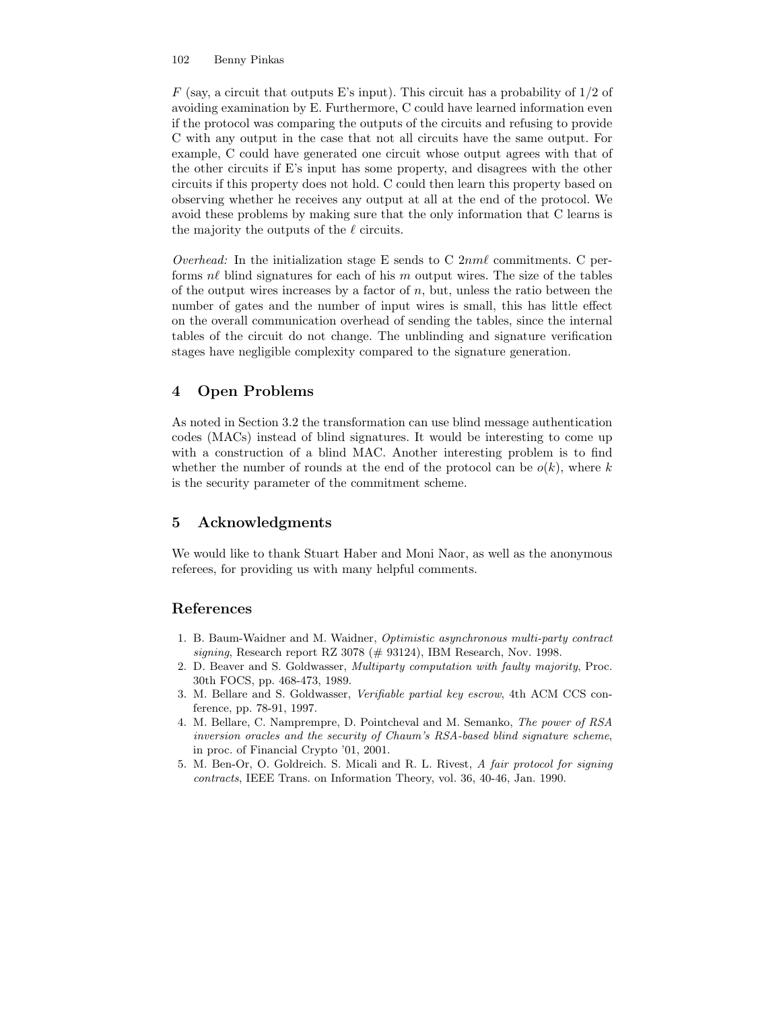$F$  (say, a circuit that outputs E's input). This circuit has a probability of  $1/2$  of avoiding examination by E. Furthermore, C could have learned information even if the protocol was comparing the outputs of the circuits and refusing to provide C with any output in the case that not all circuits have the same output. For example, C could have generated one circuit whose output agrees with that of the other circuits if E's input has some property, and disagrees with the other circuits if this property does not hold. C could then learn this property based on observing whether he receives any output at all at the end of the protocol. We avoid these problems by making sure that the only information that C learns is the majority the outputs of the  $\ell$  circuits.

Overhead: In the initialization stage E sends to C  $2nm\ell$  commitments. C performs  $n\ell$  blind signatures for each of his m output wires. The size of the tables of the output wires increases by a factor of  $n$ , but, unless the ratio between the number of gates and the number of input wires is small, this has little effect on the overall communication overhead of sending the tables, since the internal tables of the circuit do not change. The unblinding and signature verification stages have negligible complexity compared to the signature generation.

# 4 Open Problems

As noted in Section 3.2 the transformation can use blind message authentication codes (MACs) instead of blind signatures. It would be interesting to come up with a construction of a blind MAC. Another interesting problem is to find whether the number of rounds at the end of the protocol can be  $o(k)$ , where k is the security parameter of the commitment scheme.

# 5 Acknowledgments

We would like to thank Stuart Haber and Moni Naor, as well as the anonymous referees, for providing us with many helpful comments.

# References

- 1. B. Baum-Waidner and M. Waidner, Optimistic asynchronous multi-party contract signing, Research report RZ 3078 ( $\#$  93124), IBM Research, Nov. 1998.
- 2. D. Beaver and S. Goldwasser, Multiparty computation with faulty majority, Proc. 30th FOCS, pp. 468-473, 1989.
- 3. M. Bellare and S. Goldwasser, Verifiable partial key escrow, 4th ACM CCS conference, pp. 78-91, 1997.
- 4. M. Bellare, C. Namprempre, D. Pointcheval and M. Semanko, The power of RSA inversion oracles and the security of Chaum's RSA-based blind signature scheme, in proc. of Financial Crypto '01, 2001.
- 5. M. Ben-Or, O. Goldreich. S. Micali and R. L. Rivest, A fair protocol for signing contracts, IEEE Trans. on Information Theory, vol. 36, 40-46, Jan. 1990.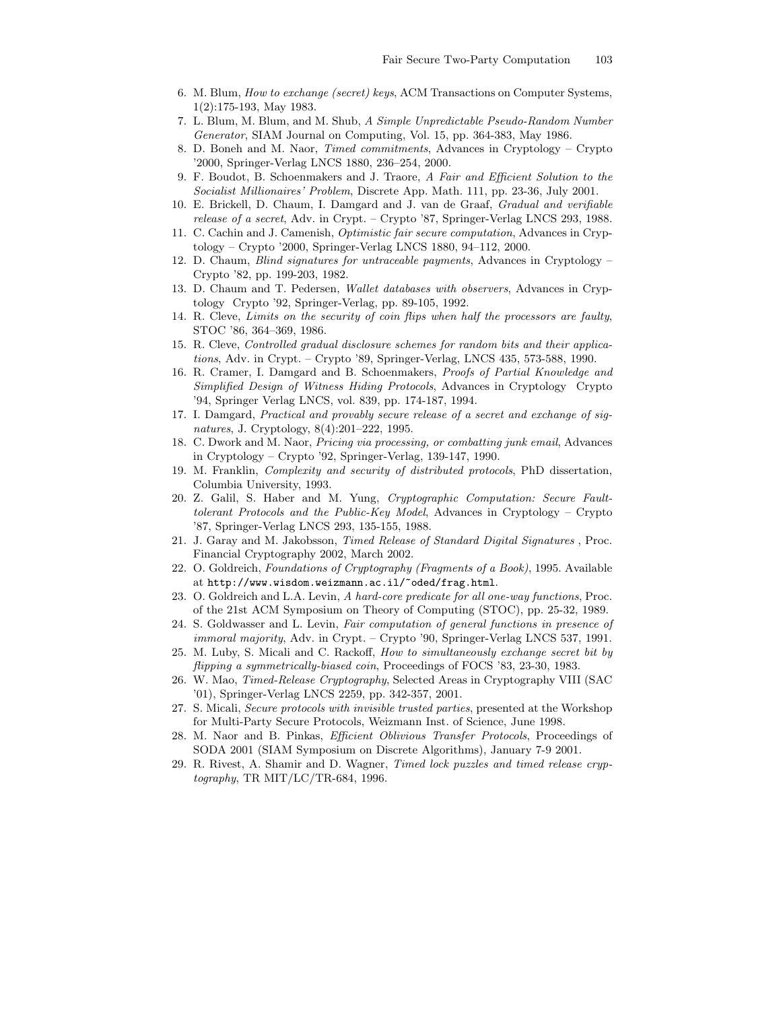- 6. M. Blum, How to exchange (secret) keys, ACM Transactions on Computer Systems, 1(2):175-193, May 1983.
- 7. L. Blum, M. Blum, and M. Shub, A Simple Unpredictable Pseudo-Random Number Generator, SIAM Journal on Computing, Vol. 15, pp. 364-383, May 1986.
- 8. D. Boneh and M. Naor, Timed commitments, Advances in Cryptology Crypto '2000, Springer-Verlag LNCS 1880, 236–254, 2000.
- 9. F. Boudot, B. Schoenmakers and J. Traore, A Fair and Efficient Solution to the Socialist Millionaires' Problem, Discrete App. Math. 111, pp. 23-36, July 2001.
- 10. E. Brickell, D. Chaum, I. Damgard and J. van de Graaf, Gradual and verifiable release of a secret, Adv. in Crypt. – Crypto '87, Springer-Verlag LNCS 293, 1988.
- 11. C. Cachin and J. Camenish, Optimistic fair secure computation, Advances in Cryptology – Crypto '2000, Springer-Verlag LNCS 1880, 94–112, 2000.
- 12. D. Chaum, Blind signatures for untraceable payments, Advances in Cryptology Crypto '82, pp. 199-203, 1982.
- 13. D. Chaum and T. Pedersen, Wallet databases with observers, Advances in Cryptology Crypto '92, Springer-Verlag, pp. 89-105, 1992.
- 14. R. Cleve, Limits on the security of coin flips when half the processors are faulty, STOC '86, 364–369, 1986.
- 15. R. Cleve, Controlled gradual disclosure schemes for random bits and their applications, Adv. in Crypt. – Crypto '89, Springer-Verlag, LNCS 435, 573-588, 1990.
- 16. R. Cramer, I. Damgard and B. Schoenmakers, Proofs of Partial Knowledge and Simplified Design of Witness Hiding Protocols, Advances in Cryptology Crypto '94, Springer Verlag LNCS, vol. 839, pp. 174-187, 1994.
- 17. I. Damgard, Practical and provably secure release of a secret and exchange of signatures, J. Cryptology, 8(4):201–222, 1995.
- 18. C. Dwork and M. Naor, Pricing via processing, or combatting junk email, Advances in Cryptology – Crypto '92, Springer-Verlag, 139-147, 1990.
- 19. M. Franklin, Complexity and security of distributed protocols, PhD dissertation, Columbia University, 1993.
- 20. Z. Galil, S. Haber and M. Yung, Cryptographic Computation: Secure Faulttolerant Protocols and the Public-Key Model, Advances in Cryptology – Crypto '87, Springer-Verlag LNCS 293, 135-155, 1988.
- 21. J. Garay and M. Jakobsson, Timed Release of Standard Digital Signatures , Proc. Financial Cryptography 2002, March 2002.
- 22. O. Goldreich, Foundations of Cryptography (Fragments of a Book), 1995. Available at http://www.wisdom.weizmann.ac.il/~oded/frag.html.
- 23. O. Goldreich and L.A. Levin, A hard-core predicate for all one-way functions, Proc. of the 21st ACM Symposium on Theory of Computing (STOC), pp. 25-32, 1989.
- 24. S. Goldwasser and L. Levin, Fair computation of general functions in presence of immoral majority, Adv. in Crypt. – Crypto '90, Springer-Verlag LNCS 537, 1991.
- 25. M. Luby, S. Micali and C. Rackoff, How to simultaneously exchange secret bit by flipping a symmetrically-biased coin, Proceedings of FOCS '83, 23-30, 1983.
- 26. W. Mao, Timed-Release Cryptography, Selected Areas in Cryptography VIII (SAC '01), Springer-Verlag LNCS 2259, pp. 342-357, 2001.
- 27. S. Micali, Secure protocols with invisible trusted parties, presented at the Workshop for Multi-Party Secure Protocols, Weizmann Inst. of Science, June 1998.
- 28. M. Naor and B. Pinkas, Efficient Oblivious Transfer Protocols, Proceedings of SODA 2001 (SIAM Symposium on Discrete Algorithms), January 7-9 2001.
- 29. R. Rivest, A. Shamir and D. Wagner, Timed lock puzzles and timed release cryptography, TR MIT/LC/TR-684, 1996.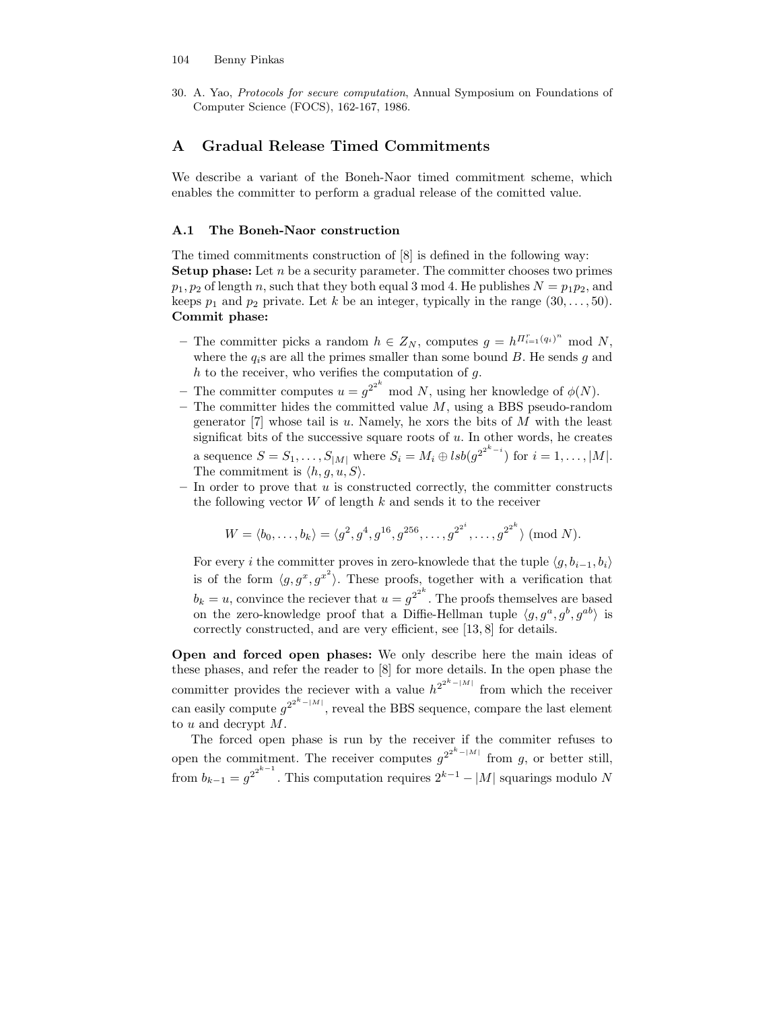30. A. Yao, Protocols for secure computation, Annual Symposium on Foundations of Computer Science (FOCS), 162-167, 1986.

# A Gradual Release Timed Commitments

We describe a variant of the Boneh-Naor timed commitment scheme, which enables the committer to perform a gradual release of the comitted value.

### A.1 The Boneh-Naor construction

The timed commitments construction of [8] is defined in the following way: **Setup phase:** Let  $n$  be a security parameter. The committer chooses two primes  $p_1, p_2$  of length n, such that they both equal 3 mod 4. He publishes  $N = p_1p_2$ , and keeps  $p_1$  and  $p_2$  private. Let k be an integer, typically in the range  $(30, \ldots, 50)$ . Commit phase:

- The committer picks a random  $h \in Z_N$ , computes  $g = h^{II_{i=1}^r(q_i)^n} \mod N$ , where the  $q_i$ s are all the primes smaller than some bound  $B$ . He sends  $g$  and  $h$  to the receiver, who verifies the computation of  $g$ .
- The committer computes  $u = g^{2^{2^k}}$  mod N, using her knowledge of  $\phi(N)$ .
- The committer hides the committed value  $M$ , using a BBS pseudo-random generator  $[7]$  whose tail is u. Namely, he xors the bits of M with the least significat bits of the successive square roots of  $u$ . In other words, he creates a sequence  $S = S_1, \ldots, S_{|M|}$  where  $S_i = M_i \oplus \textit{lsb}(g^{2^{2^{k}-i}})$  for  $i = 1, \ldots, |M|$ .
	- The commitment is  $\langle h, q, u, S \rangle$ .
- $-$  In order to prove that u is constructed correctly, the committer constructs the following vector  $W$  of length k and sends it to the receiver

$$
W = \langle b_0, \ldots, b_k \rangle = \langle g^2, g^4, g^{16}, g^{256}, \ldots, g^{2^{2^i}}, \ldots, g^{2^{2^k}} \rangle \; (\text{mod } N).
$$

For every i the committer proves in zero-knowlede that the tuple  $\langle g, b_{i-1}, b_i \rangle$ is of the form  $\langle g, g^x, g^{x^2} \rangle$ . These proofs, together with a verification that  $b_k = u$ , convince the reciever that  $u = g^{2^{2^k}}$ . The proofs themselves are based on the zero-knowledge proof that a Diffie-Hellman tuple  $\langle g, g^a, g^b, g^{ab} \rangle$  is correctly constructed, and are very efficient, see [13, 8] for details.

Open and forced open phases: We only describe here the main ideas of these phases, and refer the reader to [8] for more details. In the open phase the committer provides the reciever with a value  $h^{2^{2^{k}-|M|}}$  from which the receiver can easily compute  $g^{2^{2^k-|M|}}$ , reveal the BBS sequence, compare the last element to u and decrypt M.

The forced open phase is run by the receiver if the commiter refuses to open the commitment. The receiver computes  $g^{2^{2^k-|M|}}$  from g, or better still, from  $b_{k-1} = g^{2^{2^{k-1}}}$ . This computation requires  $2^{k-1} - |M|$  squarings modulo N